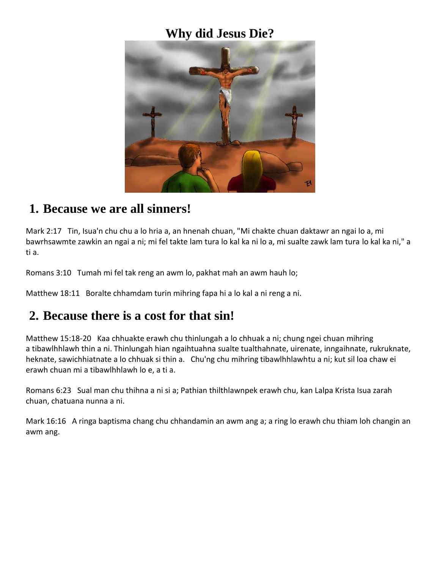## **Why did Jesus Die?**



### **1. Because we are all sinners!**

Mark 2:17 Tin, Isua'n chu chu a lo hria a, an hnenah chuan, "Mi chakte chuan daktawr an ngai lo a, mi bawrhsawmte zawkin an ngai a ni; mi fel takte lam tura lo kal ka ni lo a, mi sualte zawk lam tura lo kal ka ni," a ti a.

Romans 3:10 Tumah mi fel tak reng an awm lo, pakhat mah an awm hauh lo;

Matthew 18:11 Boralte chhamdam turin mihring fapa hi a lo kal a ni reng a ni.

### **2. Because there is a cost for that sin!**

Matthew 15:18-20 Kaa chhuakte erawh chu thinlungah a lo chhuak a ni; chung ngei chuan mihring a tibawlhhlawh thin a ni. Thinlungah hian ngaihtuahna sualte tualthahnate, uirenate, inngaihnate, rukruknate, heknate, sawichhiatnate a lo chhuak si thin a. Chu'ng chu mihring tibawlhhlawhtu a ni; kut sil loa chaw ei erawh chuan mi a tibawlhhlawh lo e, a ti a.

Romans 6:23 Sual man chu thihna a ni si a; Pathian thilthlawnpek erawh chu, kan Lalpa Krista Isua zarah chuan, chatuana nunna a ni.

Mark 16:16 A ringa baptisma chang chu chhandamin an awm ang a; a ring lo erawh chu thiam loh changin an awm ang.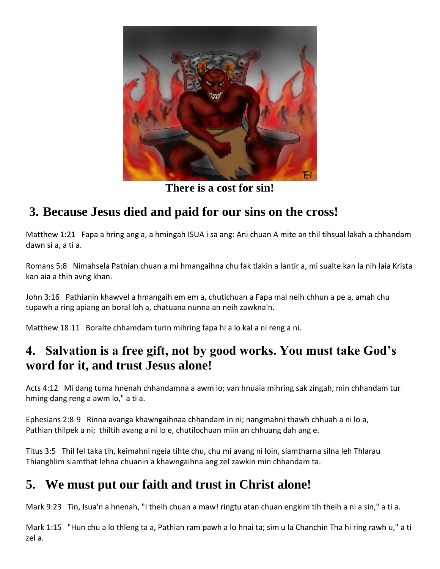

**There is a cost for sin!**

# **3. Because Jesus died and paid for our sins on the cross!**

Matthew 1:21 Fapa a hring ang a, a hmingah ISUA i sa ang: Ani chuan A mite an thil tihsual lakah a chhandam dawn si a, a ti a.

Romans 5:8 Nimahsela Pathian chuan a mi hmangaihna chu fak tlakin a lantir a, mi sualte kan la nih laia Krista kan aia a thih avng khan.

John 3:16 Pathianin khawvel a hmangaih em em a, chutichuan a Fapa mal neih chhun a pe a, amah chu tupawh a ring apiang an boral loh a, chatuana nunna an neih zawkna'n.

Matthew 18:11 Boralte chhamdam turin mihring fapa hi a lo kal a ni reng a ni.

## **4. Salvation is a free gift, not by good works. You must take God's word for it, and trust Jesus alone!**

Acts 4:12 Mi dang tuma hnenah chhandamna a awm lo; van hnuaia mihring sak zingah, min chhandam tur hming dang reng a awm lo," a ti a.

Ephesians 2:8-9 Rinna avanga khawngaihnaa chhandam in ni; nangmahni thawh chhuah a ni lo a, Pathian thilpek a ni; thiltih avang a ni lo e, chutilochuan miin an chhuang dah ang e.

Titus 3:5 Thil fel taka tih, keimahni ngeia tihte chu, chu mi avang ni loin, siamtharna silna leh Thlarau Thianghlim siamthat lehna chuanin a khawngaihna ang zel zawkin min chhandam ta.

# **5. We must put our faith and trust in Christ alone!**

Mark 9:23 Tin, Isua'n a hnenah, "I theih chuan a maw! ringtu atan chuan engkim tih theih a ni a sin," a ti a.

Mark 1:15 "Hun chu a lo thleng ta a, Pathian ram pawh a lo hnai ta; sim u la Chanchin Tha hi ring rawh u," a ti zel a.